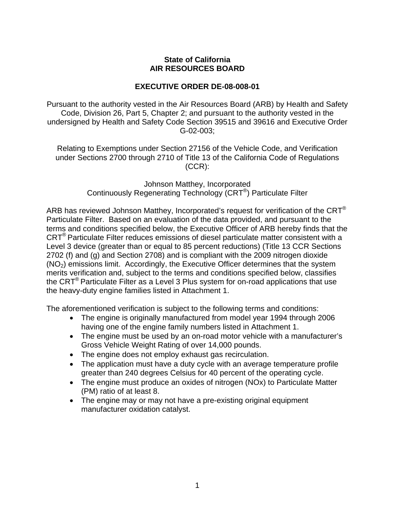## **State of California AIR RESOURCES BOARD**

## **EXECUTIVE ORDER DE-08-008-01**

Pursuant to the authority vested in the Air Resources Board (ARB) by Health and Safety Code, Division 26, Part 5, Chapter 2; and pursuant to the authority vested in the undersigned by Health and Safety Code Section 39515 and 39616 and Executive Order G-02-003;

Relating to Exemptions under Section 27156 of the Vehicle Code, and Verification under Sections 2700 through 2710 of Title 13 of the California Code of Regulations (CCR):

> Johnson Matthey, Incorporated Continuously Regenerating Technology (CRT®) Particulate Filter

ARB has reviewed Johnson Matthey, Incorporated's request for verification of the CRT<sup>®</sup> Particulate Filter. Based on an evaluation of the data provided, and pursuant to the terms and conditions specified below, the Executive Officer of ARB hereby finds that the CRT® Particulate Filter reduces emissions of diesel particulate matter consistent with a Level 3 device (greater than or equal to 85 percent reductions) (Title 13 CCR Sections 2702 (f) and (g) and Section 2708) and is compliant with the 2009 nitrogen dioxide  $(NO<sub>2</sub>)$  emissions limit. Accordingly, the Executive Officer determines that the system merits verification and, subject to the terms and conditions specified below, classifies the  $CRT^{\circledast}$  Particulate Filter as a Level 3 Plus system for on-road applications that use the heavy-duty engine families listed in Attachment 1.

The aforementioned verification is subject to the following terms and conditions:

- The engine is originally manufactured from model year 1994 through 2006 having one of the engine family numbers listed in Attachment 1.
- The engine must be used by an on-road motor vehicle with a manufacturer's Gross Vehicle Weight Rating of over 14,000 pounds.
- The engine does not employ exhaust gas recirculation.
- The application must have a duty cycle with an average temperature profile greater than 240 degrees Celsius for 40 percent of the operating cycle.
- The engine must produce an oxides of nitrogen (NOx) to Particulate Matter (PM) ratio of at least 8.
- The engine may or may not have a pre-existing original equipment manufacturer oxidation catalyst.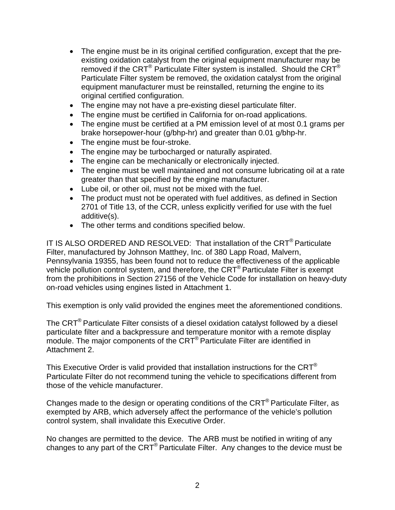- The engine must be in its original certified configuration, except that the preexisting oxidation catalyst from the original equipment manufacturer may be removed if the CRT<sup>®</sup> Particulate Filter system is installed. Should the CRT<sup>®</sup> Particulate Filter system be removed, the oxidation catalyst from the original equipment manufacturer must be reinstalled, returning the engine to its original certified configuration.
- The engine may not have a pre-existing diesel particulate filter.
- The engine must be certified in California for on-road applications.
- The engine must be certified at a PM emission level of at most 0.1 grams per brake horsepower-hour (g/bhp-hr) and greater than 0.01 g/bhp-hr.
- The engine must be four-stroke.
- The engine may be turbocharged or naturally aspirated.
- The engine can be mechanically or electronically injected.
- The engine must be well maintained and not consume lubricating oil at a rate greater than that specified by the engine manufacturer.
- Lube oil, or other oil, must not be mixed with the fuel.
- The product must not be operated with fuel additives, as defined in Section 2701 of Title 13, of the CCR, unless explicitly verified for use with the fuel additive(s).
- The other terms and conditions specified below.

IT IS ALSO ORDERED AND RESOLVED: That installation of the CRT® Particulate Filter, manufactured by Johnson Matthey, Inc. of 380 Lapp Road, Malvern, Pennsylvania 19355, has been found not to reduce the effectiveness of the applicable vehicle pollution control system, and therefore, the CRT® Particulate Filter is exempt from the prohibitions in Section 27156 of the Vehicle Code for installation on heavy-duty on-road vehicles using engines listed in Attachment 1.

This exemption is only valid provided the engines meet the aforementioned conditions.

The CRT® Particulate Filter consists of a diesel oxidation catalyst followed by a diesel particulate filter and a backpressure and temperature monitor with a remote display module. The major components of the CRT<sup>®</sup> Particulate Filter are identified in Attachment 2.

This Executive Order is valid provided that installation instructions for the CRT® Particulate Filter do not recommend tuning the vehicle to specifications different from those of the vehicle manufacturer.

Changes made to the design or operating conditions of the CRT® Particulate Filter, as exempted by ARB, which adversely affect the performance of the vehicle's pollution control system, shall invalidate this Executive Order.

No changes are permitted to the device. The ARB must be notified in writing of any changes to any part of the CRT® Particulate Filter. Any changes to the device must be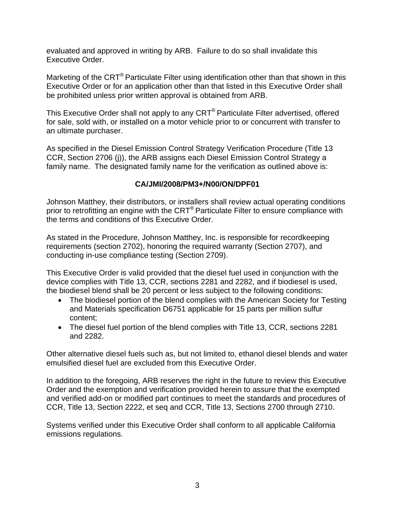evaluated and approved in writing by ARB. Failure to do so shall invalidate this Executive Order.

Marketing of the CRT<sup>®</sup> Particulate Filter using identification other than that shown in this Executive Order or for an application other than that listed in this Executive Order shall be prohibited unless prior written approval is obtained from ARB.

This Executive Order shall not apply to any CRT® Particulate Filter advertised, offered for sale, sold with, or installed on a motor vehicle prior to or concurrent with transfer to an ultimate purchaser.

As specified in the Diesel Emission Control Strategy Verification Procedure (Title 13 CCR, Section 2706 (j)), the ARB assigns each Diesel Emission Control Strategy a family name. The designated family name for the verification as outlined above is:

## **CA/JMI/2008/PM3+/N00/ON/DPF01**

Johnson Matthey, their distributors, or installers shall review actual operating conditions prior to retrofitting an engine with the CRT® Particulate Filter to ensure compliance with the terms and conditions of this Executive Order.

As stated in the Procedure, Johnson Matthey, Inc. is responsible for recordkeeping requirements (section 2702), honoring the required warranty (Section 2707), and conducting in-use compliance testing (Section 2709).

This Executive Order is valid provided that the diesel fuel used in conjunction with the device complies with Title 13, CCR, sections 2281 and 2282, and if biodiesel is used, the biodiesel blend shall be 20 percent or less subject to the following conditions:

- The biodiesel portion of the blend complies with the American Society for Testing and Materials specification D6751 applicable for 15 parts per million sulfur content;
- The diesel fuel portion of the blend complies with Title 13, CCR, sections 2281 and 2282.

Other alternative diesel fuels such as, but not limited to, ethanol diesel blends and water emulsified diesel fuel are excluded from this Executive Order.

In addition to the foregoing, ARB reserves the right in the future to review this Executive Order and the exemption and verification provided herein to assure that the exempted and verified add-on or modified part continues to meet the standards and procedures of CCR, Title 13, Section 2222, et seq and CCR, Title 13, Sections 2700 through 2710.

Systems verified under this Executive Order shall conform to all applicable California emissions regulations.